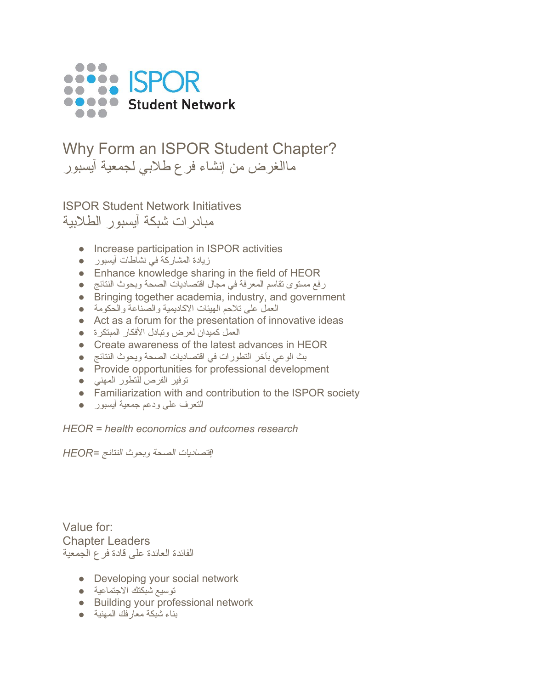

## Why Form an ISPOR Student Chapter? ماالغرض من إنشاء فرع طلابي لجمعیة آیسبور

ISPOR Student Network Initiatives مبادرات شبكة آیسبور الطلابیة

- Increase participation in ISPOR activities
- زیادة المشاركة في نشاطات آیسبور ●
- Enhance knowledge sharing in the field of HEOR
- رفع مستوى تقاسم المعرفة في مجال اقتصادیات الصحة وبحوث النتائج ●
- Bringing together academia, industry, and government
- العمل على تلاحم الهیئات الاكادیمیة والصناعة والحكومة ●
- Act as a forum for the presentation of innovative ideas
- العمل كمیدان لعرض وتبادل الأفكار المبتكرة ●
- Create awareness of the latest advances in HEOR
- بث الوعي بآخر التطورات في اقتصادیات الصحة ویحوث النتائج ●
- Provide opportunities for professional development
- توفیر الفرص للتطور المهني ●
- Familiarization with and contribution to the ISPOR society
- التعرف على ودعم جمعیة آیسبور ●

*HEOR = health economics and outcomes research*

إقتصادیات الصحة وبحوث النتائج *=HEOR*

Value for: Chapter Leaders الفائدة العائدة على قادة فرع الجمعیة

- Developing your social network
- توسیع شبكتك الاجتماعیة ●
- Building your professional network
- بناء شبكة معارفك المهنیة ●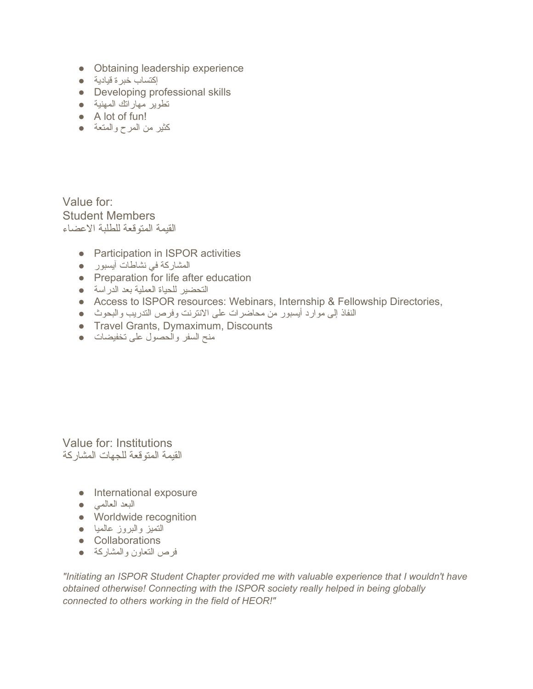- Obtaining leadership experience
- إكتساب خبرة قیادیة ●
- Developing professional skills
- تطویر مهاراتك المهنیة ●
- A lot of fun!
- كثیر من المرح والمتعة ●

Value for: Student Members القیمة المتوقعة للطلبة الاعضاء

- Participation in ISPOR activities
- المشاركة في نشاطات آیسبور ●
- Preparation for life after education
- التحضیر للحیاة العملیة بعد الدراسة ●
- Access to ISPOR resources: Webinars, Internship & Fellowship Directories,
- النفاذ إلى موارد أیسبور من محاضرات على الانترنت وفرص التدریب والبحوث ●
- Travel Grants, Dymaximum, Discounts
- منح السفر والحصول على تخفیضات ●

Value for: Institutions القیمة المتوقعة للجهات المشاركة

- International exposure
- البعد العالمي ●
- Worldwide recognition
- التمیز والبروز عالمیا ●
- Collaborations
- فرص التعاون والمشاركة ●

*"Initiating an ISPOR Student Chapter provided me with valuable experience that I wouldn't have obtained otherwise! Connecting with the ISPOR society really helped in being globally connected to others working in the field of HEOR!"*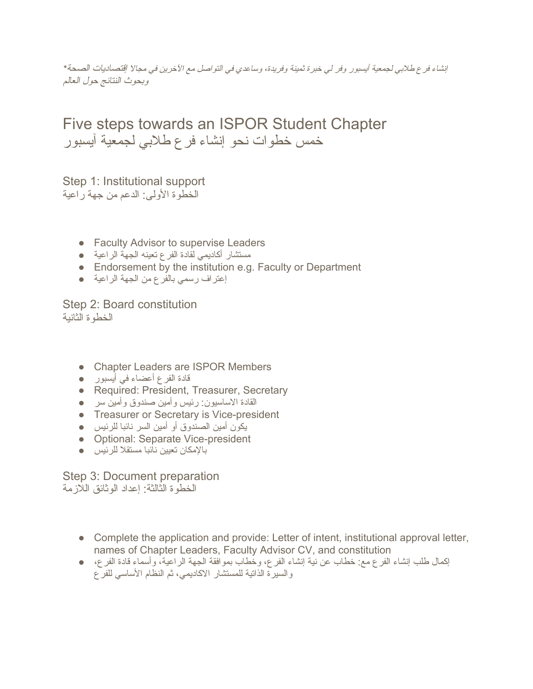إنشاء فرع طلابي لجمعیة أیسبور وفر لي خبرة ثمینة وفریدة، وساعدي في التواصل مع الآخرین في مجالا إقتصادیات الصحة*\** وبحوث النتائج حول العالم

Five steps towards an ISPOR Student Chapter خمس خطوات نحو إنشاء فرع طلابي لجمعیة آیسبور

Step 1: Institutional support الخطوة الأولى: الدعم من جهة راعیة

- Faculty Advisor to supervise Leaders
- مستشار أكادیمي لقادة الفرع تعینه الجهة الراعیة ●
- Endorsement by the institution e.g. Faculty or Department
- إعتراف رسمي بالفرع من الجهة الراعیة ●

Step 2: Board constitution الخطوة الثانیة

- Chapter Leaders are ISPOR Members
- قادة الفرع أعضاء في أیسبور ●
- Required: President, Treasurer, Secretary
- القادة الاساسیون: رئیس وأمین صندوق وأمین سر ●
- Treasurer or Secretary is Vice-president
- یكون أمین الصندوق أو أمین السر نائبا للرئیس ●
- Optional: Separate Vice-president
- بالإمكان تعیین نائبا مستقلا للرئیس ●

Step 3: Document preparation الخطوة الثالثة: إعداد الوثائق اللازمة

- Complete the application and provide: Letter of intent, institutional approval letter, names of Chapter Leaders, Faculty Advisor CV, and constitution
- إكمال طلب إنشاء الفرع مع: خطاب عن نیة إنشاء الفرع، وخطاب بموافقة الجهة الراعیة، وأسماء قادة الفرع، والسیرة الذاتیة للمستشار الاكادیمي، ثم النظام الأساسي للفرع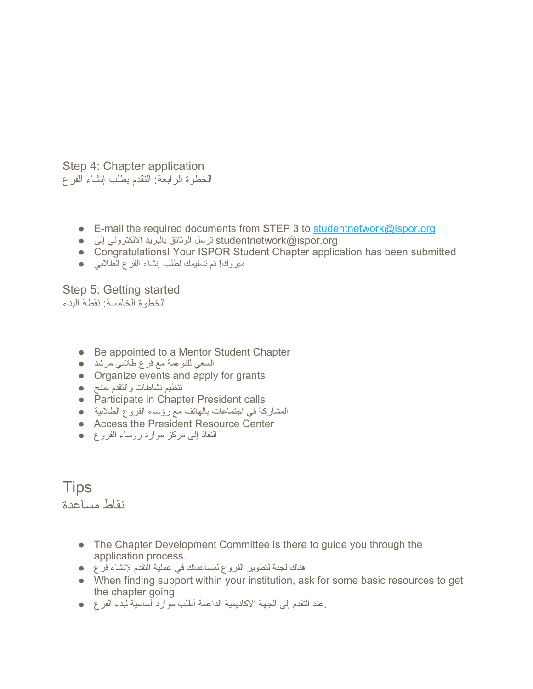Step 4: Chapter application الخطوة الرابعة: التقدم بطلب إنشاء الفرع

- E-mail the required documents from STEP 3 to [studentnetwork@ispor.org](mailto:studentnetwork@ispor.org)
- org.ispor@studentnetwork ترسل الوثائق بالبرید الالكتروني إلى ●
- Congratulations! Your ISPOR Student Chapter application has been submitted
- مبروك! تم تسلیمك لطلب إنشاء الفرع الطلابي ●

Step 5: Getting started الخطوة الخامسة: نقطة البدء

- Be appointed to a Mentor Student Chapter
- السعي للتوءمة مع فرع طلابي مرشد ●
- Organize events and apply for grants
- تنظیم نشاطات والتقدم لمنح ●
- Participate in Chapter President calls
- المشاركة في اجتماعات بالهاتف مع رؤساء الفروع الطلابیة ●
- Access the President Resource Center
- النفاذ إلى مركز موارد رؤساء الفروع ●

**Tips** نقاط مساعدة

- The Chapter Development Committee is there to guide you through the application process.
- هناك لجنة لتطویر الفروع لمساعدتك في عملیة التقدم لإنشاء فرع ●
- When finding support within your institution, ask for some basic resources to get the chapter going
- .عند التقدم إلى الجهة الاكادیمیة الداعمة أطلب موارد أساسیة لبدء الفرع ●